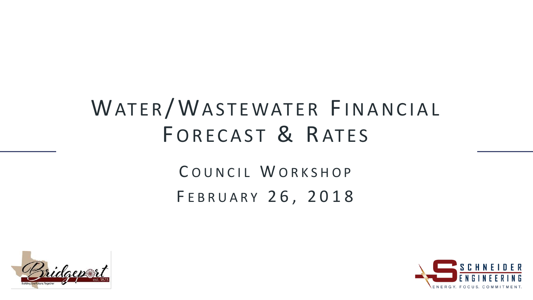### WATER/WASTEWATER FINANCIAL FORECAST & RATES

#### COUNCIL WORKSHOP FEBRUARY 26, 2018



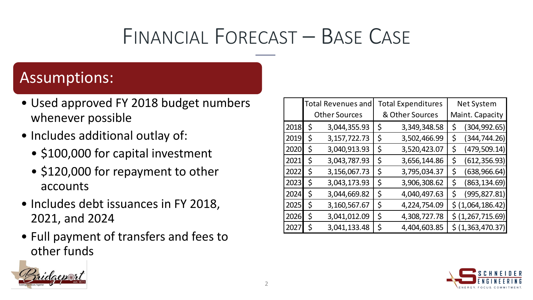#### FINANCIAL FORECAST – BASE CASE

#### Assumptions:

- Used approved FY 2018 budget numbers whenever possible
- Includes additional outlay of:
	- \$100,000 for capital investment
	- \$120,000 for repayment to other accounts
- Includes debt issuances in FY 2018, 2021, and 2024
- Full payment of transfers and fees to other funds

|                               | udal |          |
|-------------------------------|------|----------|
|                               |      | est 1873 |
| Building the Future, Together |      |          |

|      | <b>Total Revenues and</b> |                 | <b>Total Expenditures</b> |                 |                 | <b>Net System</b>            |  |  |  |
|------|---------------------------|-----------------|---------------------------|-----------------|-----------------|------------------------------|--|--|--|
|      | <b>Other Sources</b>      |                 |                           | & Other Sources | Maint. Capacity |                              |  |  |  |
| 2018 | \$                        | 3,044,355.93    | \$                        | 3,349,348.58    | \$              | (304, 992.65)                |  |  |  |
| 2019 | \$                        | 3, 157, 722. 73 | \$                        | 3,502,466.99    | \$              | (344, 744.26)                |  |  |  |
| 2020 | \$                        | 3,040,913.93    | \$                        | 3,520,423.07    | \$              | (479, 509.14)                |  |  |  |
| 2021 | \$                        | 3,043,787.93    | \$                        | 3,656,144.86    | \$              | (612, 356.93)                |  |  |  |
| 2022 | \$                        | 3,156,067.73    | \$                        | 3,795,034.37    | \$              | (638, 966.64)                |  |  |  |
| 2023 | \$                        | 3,043,173.93    | \$                        | 3,906,308.62    | \$              | (863, 134.69)                |  |  |  |
| 2024 | \$                        | 3,044,669.82    | \$                        | 4,040,497.63    | \$              | (995, 827.81)                |  |  |  |
| 2025 | \$                        | 3,160,567.67    | \$                        | 4,224,754.09    |                 | $\frac{1}{2}$ (1,064,186.42) |  |  |  |
| 2026 | \$                        | 3,041,012.09    | \$                        | 4,308,727.78    |                 | $\frac{1}{2}$ (1,267,715.69) |  |  |  |
| 2027 | \$                        | 3,041,133.48    | \$                        | 4,404,603.85    |                 | $\frac{1}{2}$ (1,363,470.37) |  |  |  |

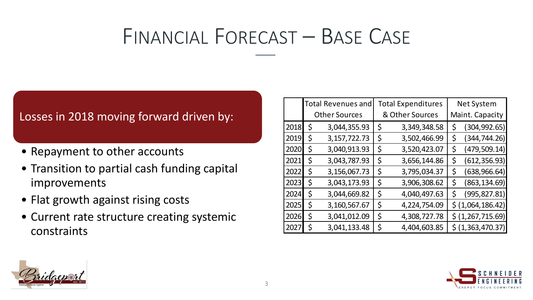#### FINANCIAL FORECAST – BASE CASE

#### Losses in 2018 moving forward driven by:

- Repayment to other accounts
- Transition to partial cash funding capital improvements
- Flat growth against rising costs
- Current rate structure creating systemic constraints

|      |                      | <b>Total Revenues and</b> |    | <b>Total Expenditures</b> | <b>Net System</b> |                   |  |  |
|------|----------------------|---------------------------|----|---------------------------|-------------------|-------------------|--|--|
|      | <b>Other Sources</b> |                           |    | & Other Sources           | Maint. Capacity   |                   |  |  |
| 2018 | Ś                    | 3,044,355.93              | \$ | 3,349,348.58              |                   | (304, 992.65)     |  |  |
| 2019 | Ś                    | 3, 157, 722. 73           | \$ | 3,502,466.99              | \$                | (344, 744.26)     |  |  |
| 2020 | Ś                    | 3,040,913.93              | \$ | 3,520,423.07              | \$                | (479, 509.14)     |  |  |
| 2021 | Ś                    | 3,043,787.93              | \$ | 3,656,144.86              | \$                | (612, 356.93)     |  |  |
| 2022 | Ś                    | 3,156,067.73              | \$ | 3,795,034.37              | \$                | (638, 966.64)     |  |  |
| 2023 | Ś                    | 3,043,173.93              | \$ | 3,906,308.62              | \$                | (863, 134.69)     |  |  |
| 2024 | Ś                    | 3,044,669.82              | Ś  | 4,040,497.63              | \$                | (995, 827.81)     |  |  |
| 2025 | \$                   | 3,160,567.67              | \$ | 4,224,754.09              |                   | \$ (1,064,186.42) |  |  |
| 2026 | \$                   | 3,041,012.09              | \$ | 4,308,727.78              |                   | \$ (1,267,715.69) |  |  |
| 2027 | \$                   | 3,041,133.48              | \$ | 4,404,603.85              |                   | \$ (1,363,470.37) |  |  |



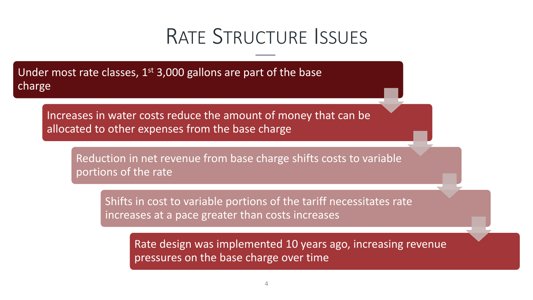#### RATE STRUCTURE ISSUES

Under most rate classes, 1<sup>st</sup> 3,000 gallons are part of the base charge

Increases in water costs reduce the amount of money that can be allocated to other expenses from the base charge

Reduction in net revenue from base charge shifts costs to variable portions of the rate

Shifts in cost to variable portions of the tariff necessitates rate increases at a pace greater than costs increases

Rate design was implemented 10 years ago, increasing revenue pressures on the base charge over time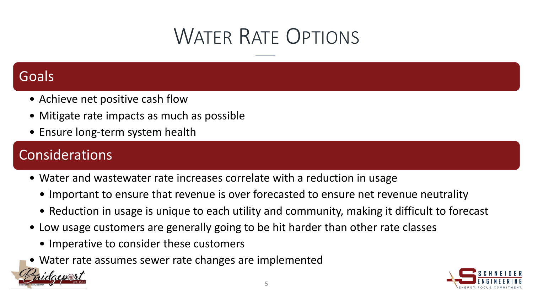## WATER RATE OPTIONS

#### **Goals**

- Achieve net positive cash flow
- Mitigate rate impacts as much as possible
- Ensure long-term system health

#### **Considerations**

- Water and wastewater rate increases correlate with a reduction in usage
	- Important to ensure that revenue is over forecasted to ensure net revenue neutrality
	- Reduction in usage is unique to each utility and community, making it difficult to forecast
- Low usage customers are generally going to be hit harder than other rate classes
	- Imperative to consider these customers
- Water rate assumes sewer rate changes are implemented

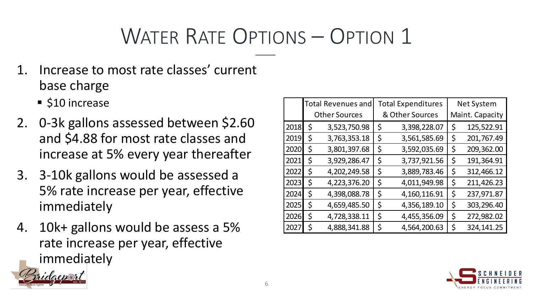- Increase to most rate classes' current base charge
	- **510 increase**
- 2. 0-3k gallons assessed between \$2.60 and \$4.88 for most rate classes and increase at 5% every year thereafter
- 3. 3-10k gallons would be assessed a 5% rate increase per year, effective immediately
- 4. 10k+ gallons would be assess a 5% rate increase per year, effective immediately

|      | <b>Total Revenues and</b> |              | <b>Total Expenditures</b> |                 |                 | <b>Net System</b> |  |  |
|------|---------------------------|--------------|---------------------------|-----------------|-----------------|-------------------|--|--|
|      | <b>Other Sources</b>      |              |                           | & Other Sources | Maint. Capacity |                   |  |  |
| 2018 | Ś                         | 3,523,750.98 | \$                        | 3,398,228.07    | \$              | 125,522.91        |  |  |
| 2019 | \$                        | 3,763,353.18 | \$                        | 3,561,585.69    | \$              | 201,767.49        |  |  |
| 2020 | \$                        | 3,801,397.68 | \$                        | 3,592,035.69    | \$              | 209,362.00        |  |  |
| 2021 | Ś                         | 3,929,286.47 | \$                        | 3,737,921.56    | \$              | 191,364.91        |  |  |
| 2022 | \$                        | 4,202,249.58 | \$                        | 3,889,783.46    | \$              | 312,466.12        |  |  |
| 2023 | \$                        | 4,223,376.20 | \$                        | 4,011,949.98    | \$              | 211,426.23        |  |  |
| 2024 | \$                        | 4,398,088.78 | \$                        | 4,160,116.91    | \$              | 237,971.87        |  |  |
| 2025 | \$                        | 4,659,485.50 | \$                        | 4,356,189.10    | \$              | 303,296.40        |  |  |
| 2026 | Ś                         | 4,728,338.11 | \$                        | 4,455,356.09    | \$              | 272,982.02        |  |  |
| 2027 | \$                        | 4,888,341.88 | \$                        | 4,564,200.63    | \$              | 324,141.25        |  |  |

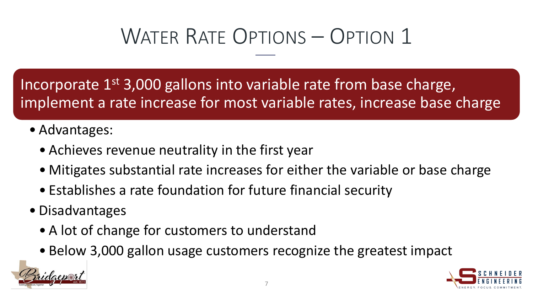Incorporate 1<sup>st</sup> 3,000 gallons into variable rate from base charge, implement a rate increase for most variable rates, increase base charge

- Advantages:
	- Achieves revenue neutrality in the first year
	- Mitigates substantial rate increases for either the variable or base charge
	- Establishes a rate foundation for future financial security
- Disadvantages
	- A lot of change for customers to understand
	- Below 3,000 gallon usage customers recognize the greatest impact



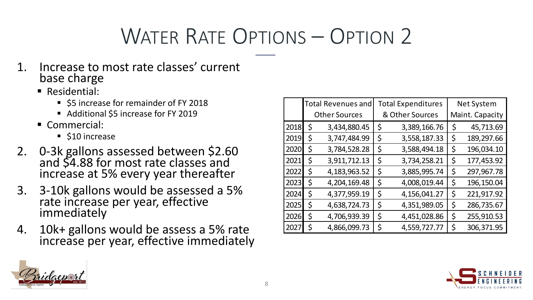- 1. Increase to most rate classes' current base charge
	- **Residential:** 
		- **55 increase for remainder of FY 2018**
		- Additional \$5 increase for FY 2019
	- Commercial:
		- \$10 increase
- 2. 0-3k gallons assessed between \$2.60 and \$4.88 for most rate classes and increase at 5% every year thereafter
- 3. 3-10k gallons would be assessed a 5% rate increase per year, effective immediately
- 4. 10k+ gallons would be assess a 5% rate increase per year, effective immediately

|      | <b>Total Revenues and</b> |              | <b>Total Expenditures</b> |                 |                 | <b>Net System</b> |  |  |
|------|---------------------------|--------------|---------------------------|-----------------|-----------------|-------------------|--|--|
|      | <b>Other Sources</b>      |              |                           | & Other Sources | Maint. Capacity |                   |  |  |
| 2018 | \$                        | 3,434,880.45 | \$                        | 3,389,166.76    | \$              | 45,713.69         |  |  |
| 2019 | Ś                         | 3,747,484.99 | \$                        | 3,558,187.33    | \$              | 189,297.66        |  |  |
| 2020 | \$                        | 3,784,528.28 | \$                        | 3,588,494.18    | \$              | 196,034.10        |  |  |
| 2021 | Ś                         | 3,911,712.13 | \$                        | 3,734,258.21    | \$              | 177,453.92        |  |  |
| 2022 | Ś                         | 4,183,963.52 | \$                        | 3,885,995.74    | \$              | 297,967.78        |  |  |
| 2023 | Ś                         | 4,204,169.48 | \$                        | 4,008,019.44    | \$              | 196,150.04        |  |  |
| 2024 | Ś                         | 4,377,959.19 | \$                        | 4,156,041.27    | \$              | 221,917.92        |  |  |
| 2025 | \$                        | 4,638,724.73 | \$                        | 4,351,989.05    | \$              | 286,735.67        |  |  |
| 2026 | \$                        | 4,706,939.39 | \$                        | 4,451,028.86    | \$              | 255,910.53        |  |  |
| 2027 | \$                        | 4,866,099.73 | \$                        | 4,559,727.77    | \$              | 306,371.95        |  |  |



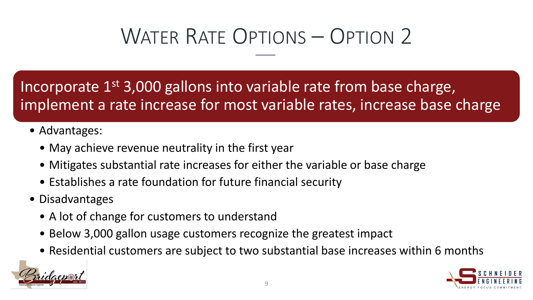Incorporate 1<sup>st</sup> 3,000 gallons into variable rate from base charge, implement a rate increase for most variable rates, increase base charge

- Advantages:
	- May achieve revenue neutrality in the first year
	- Mitigates substantial rate increases for either the variable or base charge
	- Establishes a rate foundation for future financial security
- Disadvantages
	- A lot of change for customers to understand
	- Below 3,000 gallon usage customers recognize the greatest impact
	- Residential customers are subject to two substantial base increases within 6 months



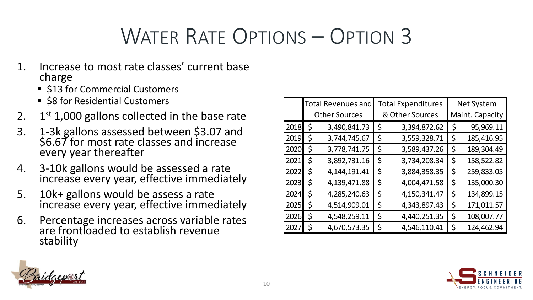- 1. Increase to most rate classes' current base charge
	- \$13 for Commercial Customers
	- \$8 for Residential Customers
- 2.  $1<sup>st</sup>$  1,000 gallons collected in the base rate
- 3. 1-3k gallons assessed between \$3.07 and \$6.67 for most rate classes and increase every year thereafter
- 4. 3-10k gallons would be assessed a rate increase every year, effective immediately
- 5. 10k+ gallons would be assess a rate increase every year, effective immediately
- 6. Percentage increases across variable rates are frontloaded to establish revenue stability

|      |                      | <b>Total Revenues and</b> |    | <b>Total Expenditures</b> | <b>Net System</b> |            |  |
|------|----------------------|---------------------------|----|---------------------------|-------------------|------------|--|
|      | <b>Other Sources</b> |                           |    | & Other Sources           | Maint. Capacity   |            |  |
| 2018 | \$                   | 3,490,841.73              | \$ | 3,394,872.62              | \$                | 95,969.11  |  |
| 2019 | Ś                    | 3,744,745.67              | \$ | 3,559,328.71              | \$                | 185,416.95 |  |
| 2020 | Ś.                   | 3,778,741.75              | \$ | 3,589,437.26              | \$                | 189,304.49 |  |
| 2021 | \$                   | 3,892,731.16              | \$ | 3,734,208.34              | \$                | 158,522.82 |  |
| 2022 | \$                   | 4, 144, 191. 41           | \$ | 3,884,358.35              | \$                | 259,833.05 |  |
| 2023 | \$                   | 4,139,471.88              | \$ | 4,004,471.58              | \$                | 135,000.30 |  |
| 2024 | \$                   | 4,285,240.63              | \$ | 4,150,341.47              | \$                | 134,899.15 |  |
| 2025 | \$                   | 4,514,909.01              | \$ | 4,343,897.43              | \$                | 171,011.57 |  |
| 2026 | \$                   | 4,548,259.11              | \$ | 4,440,251.35              | \$                | 108,007.77 |  |
| 2027 | \$                   | 4,670,573.35              | \$ | 4,546,110.41              | \$                | 124,462.94 |  |



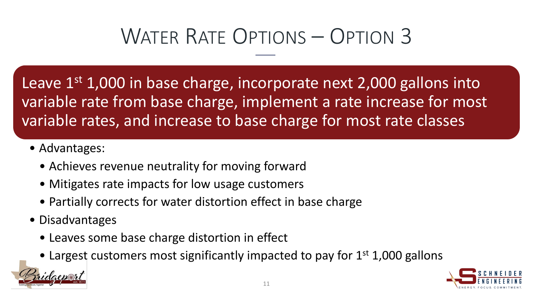Leave  $1<sup>st</sup>$  1,000 in base charge, incorporate next 2,000 gallons into variable rate from base charge, implement a rate increase for most variable rates, and increase to base charge for most rate classes

- Advantages:
	- Achieves revenue neutrality for moving forward
	- Mitigates rate impacts for low usage customers
	- Partially corrects for water distortion effect in base charge
- Disadvantages
	- Leaves some base charge distortion in effect
	- Largest customers most significantly impacted to pay for  $1<sup>st</sup> 1,000$  gallons

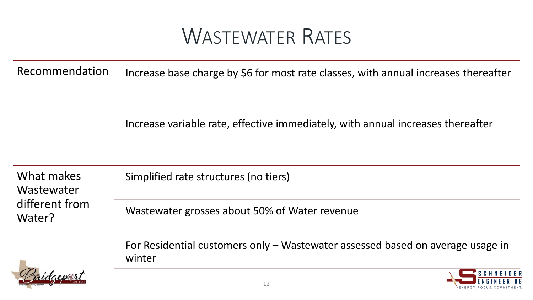#### WASTEWATER RATES

Recommendation Increase base charge by \$6 for most rate classes, with annual increases thereafter

Increase variable rate, effective immediately, with annual increases thereafter

What makes **Wastewater** different from Water?

Simplified rate structures (no tiers)

Wastewater grosses about 50% of Water revenue

For Residential customers only – Wastewater assessed based on average usage in winter



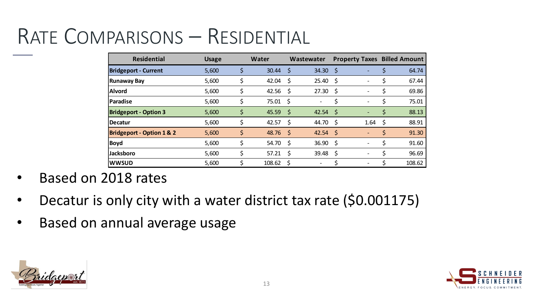### RATE COMPARISONS – RESIDENTIAL

| <b>Residential</b>                   | <b>Usage</b> |    | Water      |    | Wastewater |     | <b>Property Taxes Billed Amount</b> |    |        |
|--------------------------------------|--------------|----|------------|----|------------|-----|-------------------------------------|----|--------|
| <b>Bridgeport - Current</b>          | 5,600        | Ś  | 30.44      | \$ | 34.30      | \$  |                                     | \$ | 64.74  |
| <b>Runaway Bay</b>                   | 5,600        |    | 42.04      | \$ | 25.40      | \$  |                                     | \$ | 67.44  |
| <b>Alvord</b>                        | 5,600        | Ś  | 42.56      | S  | 27.30      | S   |                                     | \$ | 69.86  |
| <b>Paradise</b>                      | 5,600        |    | 75.01      | \$ | -          | \$  |                                     | \$ | 75.01  |
| <b>Bridgeport - Option 3</b>         | 5,600        | \$ | 45.59      | \$ | 42.54      | -\$ |                                     | \$ | 88.13  |
| <b>Decatur</b>                       | 5,600        | Ś  | 42.57      | Ŝ. | 44.70      | S   | 1.64                                | \$ | 88.91  |
| <b>Bridgeport - Option 1 &amp; 2</b> | 5,600        | \$ | $48.76$ \$ |    | $42.54$ \$ |     |                                     | \$ | 91.30  |
| <b>Boyd</b>                          | 5,600        | \$ | 54.70      | \$ | 36.90      | S   |                                     | \$ | 91.60  |
| <b>Jacksboro</b>                     | 5,600        | \$ | 57.21      | \$ | 39.48      | \$  |                                     | \$ | 96.69  |
| <b>WWSUD</b>                         | 5,600        |    | 108.62     |    |            |     |                                     |    | 108.62 |

- Based on 2018 rates
- Decatur is only city with a water district tax rate (\$0.001175)
- Based on annual average usage



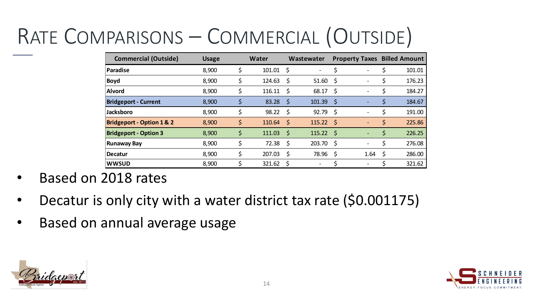# RATE COMPARISONS – COMMERCIAL (OUTSIDE)

| <b>Commercial (Outside)</b>          | <b>Usage</b> | <b>Water</b> |      | Wastewater                   |      | <b>Property Taxes Billed Amount</b> |              |
|--------------------------------------|--------------|--------------|------|------------------------------|------|-------------------------------------|--------------|
| Paradise                             | 8,900        | \$<br>101.01 | Ŝ.   | $\qquad \qquad \blacksquare$ | \$   | $\overline{\phantom{0}}$            | 101.01       |
| <b>Boyd</b>                          | 8,900        | \$<br>124.63 | -\$  | 51.60                        | -\$  | $\overline{\phantom{0}}$            | 176.23       |
| <b>Alvord</b>                        | 8,900        | \$<br>116.11 | -\$  | 68.17                        | \$   | $\overline{\phantom{0}}$            | \$<br>184.27 |
| <b>Bridgeport - Current</b>          | 8,900        | \$<br>83.28  | -\$  | 101.39                       | -\$  |                                     | \$<br>184.67 |
| <b>Jacksboro</b>                     | 8,900        | \$<br>98.22  | - \$ | 92.79                        | -\$  | $\overline{\phantom{0}}$            | \$<br>191.00 |
| <b>Bridgeport - Option 1 &amp; 2</b> | 8,900        | \$<br>110.64 | -\$  | $115.22 \quad$               |      |                                     | \$<br>225.86 |
| <b>Bridgeport - Option 3</b>         | 8,900        | \$<br>111.03 | -\$  | 115.22                       | - \$ | $\overline{\phantom{a}}$            | \$<br>226.25 |
| <b>Runaway Bay</b>                   | 8,900        | \$<br>72.38  | -\$  | 203.70                       | - \$ | $\overline{\phantom{a}}$            | \$<br>276.08 |
| <b>Decatur</b>                       | 8,900        | \$<br>207.03 | \$   | 78.96                        | \$   | 1.64                                | \$<br>286.00 |
| <b>WWSUD</b>                         | 8,900        | 321.62       | \$,  |                              |      |                                     | 321.62       |

- Based on 2018 rates
- Decatur is only city with a water district tax rate (\$0.001175)
- Based on annual average usage



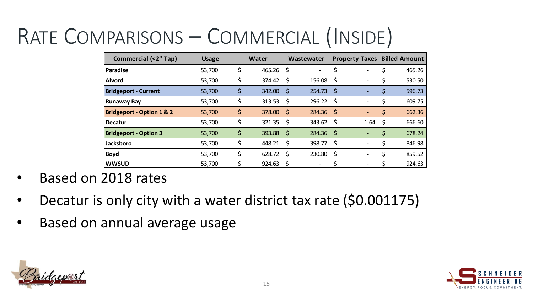## RATE COMPARISONS – COMMERCIAL (INSIDE)

| <b>Commercial (&lt;2" Tap)</b>       | <b>Usage</b> | <b>Water</b> |              | Wastewater |      | <b>Property Taxes Billed Amount</b> |    |        |
|--------------------------------------|--------------|--------------|--------------|------------|------|-------------------------------------|----|--------|
| <b>Paradise</b>                      | 53,700       | \$<br>465.26 | <sub>S</sub> |            |      |                                     |    | 465.26 |
| <b>Alvord</b>                        | 53,700       | \$<br>374.42 | -\$          | 156.08     | -S   | ۰                                   |    | 530.50 |
| <b>Bridgeport - Current</b>          | 53,700       | \$<br>342.00 | S            | 254.73     | -S   |                                     | \$ | 596.73 |
| <b>Runaway Bay</b>                   | 53,700       | \$<br>313.53 | -\$          | 296.22     | -S   |                                     |    | 609.75 |
| <b>Bridgeport - Option 1 &amp; 2</b> | 53,700       | \$<br>378.00 | - \$         | 284.36     | - \$ | ٠                                   | \$ | 662.36 |
| Decatur                              | 53,700       | \$<br>321.35 | -S           | 343.62     | -S   | 1.64                                | Ş. | 666.60 |
| <b>Bridgeport - Option 3</b>         | 53,700       | \$<br>393.88 | -\$          | 284.36     | - S  | $\overline{\phantom{0}}$            | \$ | 678.24 |
| <b>Jacksboro</b>                     | 53,700       | \$<br>448.21 | - S          | 398.77     | -\$  | $\overline{\phantom{0}}$            |    | 846.98 |
| <b>Boyd</b>                          | 53,700       | \$<br>628.72 | \$           | 230.80     | \$   |                                     |    | 859.52 |
| <b>WWSUD</b>                         | 53,700       | 924.63       | \$,          |            |      |                                     |    | 924.63 |

- Based on 2018 rates
- Decatur is only city with a water district tax rate (\$0.001175)
- Based on annual average usage



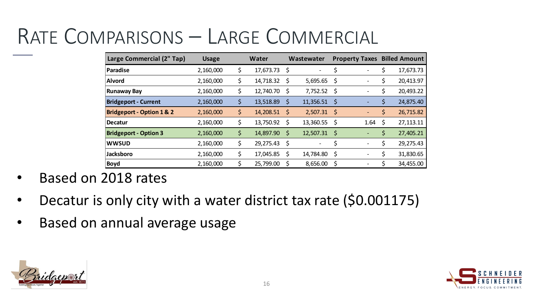#### RATE COMPARISONS – LARGE COMMERCIAL

| Large Commercial (2" Tap)            | <b>Usage</b> | <b>Water</b>    |             | Wastewater |      | <b>Property Taxes</b>        |     | <b>Billed Amount</b> |
|--------------------------------------|--------------|-----------------|-------------|------------|------|------------------------------|-----|----------------------|
| Paradise                             | 2,160,000    | \$<br>17,673.73 | \$          |            | \$   |                              |     | 17,673.73            |
| <b>Alvord</b>                        | 2,160,000    | \$<br>14,718.32 | \$          | 5,695.65   | -\$  | $\qquad \qquad$              | \$  | 20,413.97            |
| <b>Runaway Bay</b>                   | 2,160,000    | \$<br>12,740.70 | -\$         | 7,752.52   | -\$  |                              | \$  | 20,493.22            |
| <b>Bridgeport - Current</b>          | 2,160,000    | \$<br>13,518.89 | \$          | 11,356.51  | -\$  |                              | \$  | 24,875.40            |
| <b>Bridgeport - Option 1 &amp; 2</b> | 2,160,000    | \$<br>14,208.51 | -\$         | 2,507.31   | - \$ | $\qquad \qquad \blacksquare$ | \$  | 26,715.82            |
| Decatur                              | 2,160,000    | \$<br>13,750.92 | Ş           | 13,360.55  | -\$  | 1.64                         | \$, | 27,113.11            |
| <b>Bridgeport - Option 3</b>         | 2,160,000    | \$<br>14,897.90 | $\varsigma$ | 12,507.31  | -\$  |                              | \$  | 27,405.21            |
| <b>WWSUD</b>                         | 2,160,000    | \$<br>29,275.43 | -\$         | -          | \$   | $\overline{a}$               | \$  | 29,275.43            |
| <b>Jacksboro</b>                     | 2,160,000    | \$<br>17,045.85 | \$          | 14,784.80  | \$   |                              | \$  | 31,830.65            |
| <b>Boyd</b>                          | 2,160,000    | 25,799.00       |             | 8,656.00   | \$   |                              |     | 34,455.00            |

- Based on 2018 rates
- Decatur is only city with a water district tax rate (\$0.001175)
- Based on annual average usage